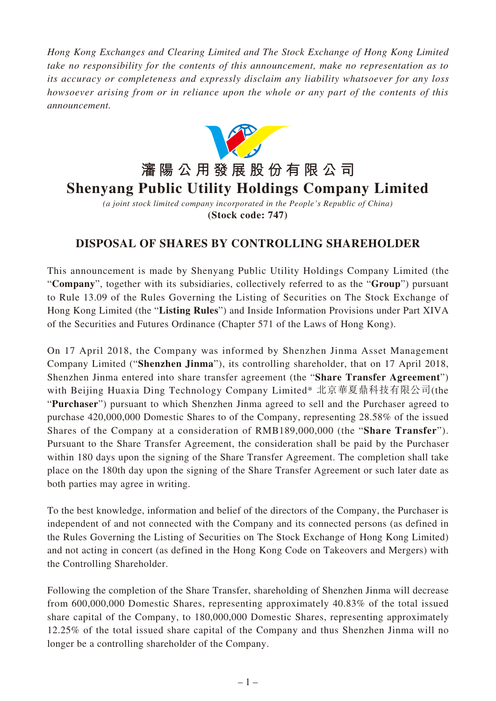*Hong Kong Exchanges and Clearing Limited and The Stock Exchange of Hong Kong Limited take no responsibility for the contents of this announcement, make no representation as to its accuracy or completeness and expressly disclaim any liability whatsoever for any loss howsoever arising from or in reliance upon the whole or any part of the contents of this announcement.*



*(a joint stock limited company incorporated in the People's Republic of China)* **(Stock code: 747)**

## **DISPOSAL OF SHARES BY CONTROLLING SHAREHOLDER**

This announcement is made by Shenyang Public Utility Holdings Company Limited (the "**Company**", together with its subsidiaries, collectively referred to as the "**Group**") pursuant to Rule 13.09 of the Rules Governing the Listing of Securities on The Stock Exchange of Hong Kong Limited (the "**Listing Rules**") and Inside Information Provisions under Part XIVA of the Securities and Futures Ordinance (Chapter 571 of the Laws of Hong Kong).

On 17 April 2018, the Company was informed by Shenzhen Jinma Asset Management Company Limited ("**Shenzhen Jinma**"), its controlling shareholder, that on 17 April 2018, Shenzhen Jinma entered into share transfer agreement (the "**Share Transfer Agreement**") with Beijing Huaxia Ding Technology Company Limited\* 北京華夏鼎科技有限公司(the "**Purchaser**") pursuant to which Shenzhen Jinma agreed to sell and the Purchaser agreed to purchase 420,000,000 Domestic Shares to of the Company, representing 28.58% of the issued Shares of the Company at a consideration of RMB189,000,000 (the "**Share Transfer**"). Pursuant to the Share Transfer Agreement, the consideration shall be paid by the Purchaser within 180 days upon the signing of the Share Transfer Agreement. The completion shall take place on the 180th day upon the signing of the Share Transfer Agreement or such later date as both parties may agree in writing.

To the best knowledge, information and belief of the directors of the Company, the Purchaser is independent of and not connected with the Company and its connected persons (as defined in the Rules Governing the Listing of Securities on The Stock Exchange of Hong Kong Limited) and not acting in concert (as defined in the Hong Kong Code on Takeovers and Mergers) with the Controlling Shareholder.

Following the completion of the Share Transfer, shareholding of Shenzhen Jinma will decrease from 600,000,000 Domestic Shares, representing approximately 40.83% of the total issued share capital of the Company, to 180,000,000 Domestic Shares, representing approximately 12.25% of the total issued share capital of the Company and thus Shenzhen Jinma will no longer be a controlling shareholder of the Company.